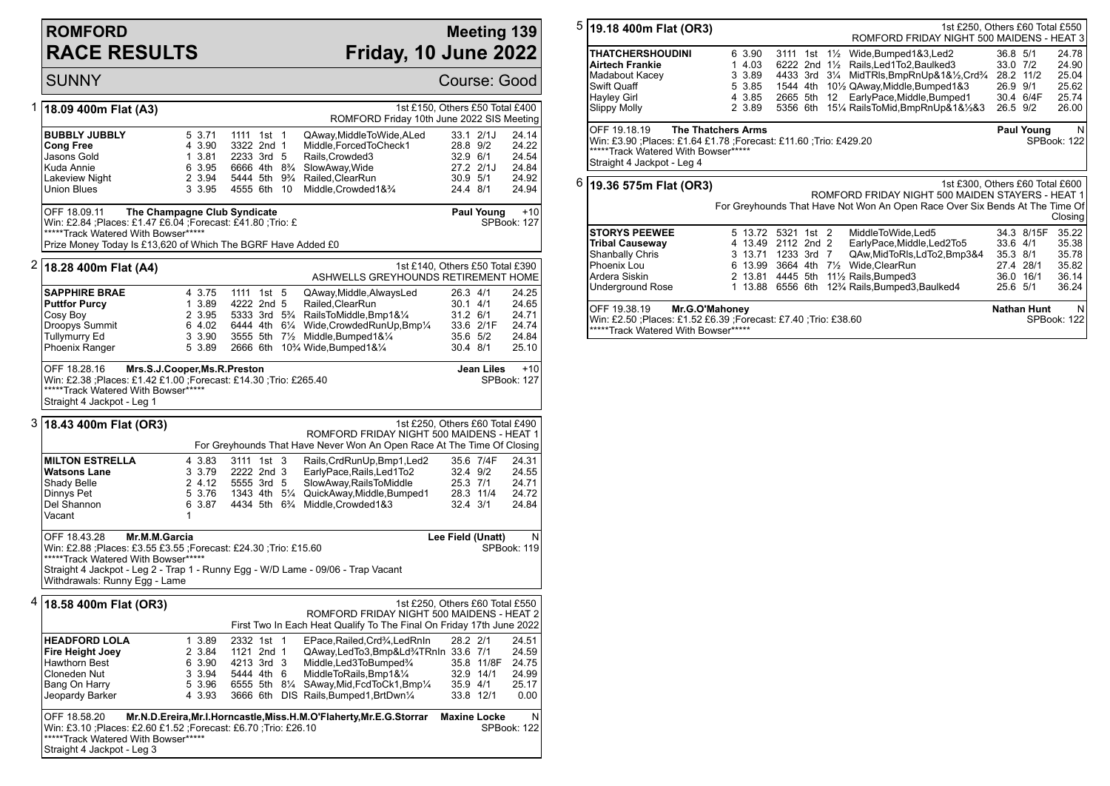## **ROMFORD RACE RESULTS**

Straight 4 Jackpot - Leg 3

## **Meeting 139 Friday, 10 June 2022**

SUNNY Course: Good 1 **18.09 400m Flat (A3)** 1st £150, Others £50 Total £400 ROMFORD Friday 10th June 2022 SIS Meeting **BUBBLY JUBBLY** 5 3.71 1111 1st 1 QAway,MiddleToWide,ALed 33.1 2/1J 24.14 **Cong Free** 4 3.90 3322 2nd 1 Middle,ForcedToCheck1 28.8 9/2 24.22 Jasons Gold 1 3.81 2233 3rd 5 Rails,Crowded3 32.9 6/1 24.54 6 3.95 6666 4th  $8\%$  SlowAway, Wide Lakeview Night 2 3.94 5444 5th 9<sup>3</sup>/<sub>4</sub> Railed,ClearRun 30.9 5/1 24.92<br>
Union Blues 3 3.95 4555 6th 10 Middle.Crowded1&<sup>3</sup>/<sub>4</sub> 24.4 8/1 24.94 Union Blues 3 3.95 4555 6th 10 Middle,Crowded1&¾ 24.4 8/1 24.94 OFF 18.09.11 **The Champagne Club Syndicate** Win: £2.84 ;Places: £1.47 £6.04 ;Forecast: £41.80 ;Trio: £ \*\*\*\*\*Track Watered With Bowser\*\*\*\*\*\* Prize Money Today Is £13,620 of Which The BGRF Have Added £0 **Paul Young** +10 SPBook: 127 2 **18.28 400m Flat (A4)** 1st £140, Others £50 Total £390 ASHWELLS GREYHOUNDS RETIREMENT HOME **SAPPHIRE BRAE** 4 3.75 1111 1st 5 QAway,Middle,AlwaysLed 26.3 4/1 24.25<br>**Puttfor Purcy** 1 3.89 4222 2nd 5 Railed ClearRun 30 1 4/1 24.65 **Puttfor Purcy** 1 3.89 4222 2nd 5 Railed, ClearRun 30.1 4/1 24.65<br>
Cosy Boy 2 3.95 5333 3rd 5<sup>3</sup>/<sub>4</sub> RailsToMiddle, Bmp1&<sup>1</sup>/<sub>4</sub> 31.2 6/1 24.71 Cosy Boy **2 3.95 5333 3rd 5**<sup>2</sup> RailsToMiddle,Bmp1&<sup>1</sup>/<sub>4</sub> 31.2 6/1 24.71<br>Droopys Summit 6 4.02 6444 4th 6<sup>1</sup>/<sub>4</sub> Wide,CrowdedRunUp,Bmp<sup>1</sup>/<sub>4</sub> 33.6 2/1F 24.74 Droopys Summit 6 4.02 6444 4th 6¼ Wide,CrowdedRunUp,Bmp¼ 33.6 2/1F<br>Tullymurry Ed 3 3.90 3555 5th 7½ Middle.Bumped1&¼ 35.6 5/2 Tullymurry Ed 3 3.90 3555 5th 7½ Middle,Bumped1&¼ 35.6 5/2 24.84 5 3.89 2666 6th 10¼ Wide,Bumped1&1⁄4 OFF 18.28.16 **Mrs.S.J.Cooper,Ms.R.Preston** Win: £2.38 ;Places: £1.42 £1.00 ;Forecast: £14.30 ;Trio: £265.40 \*\*\*\*\*Track Watered With Bowser\*\*\*\*\* Straight 4 Jackpot - Leg 1 **Jean Liles** +10 SPBook: 127 3 **18.43 400m Flat (OR3)** 1st £250, Others £60 Total £490 ROMFORD FRIDAY NIGHT 500 MAIDENS - HEAT 1 For Greyhounds That Have Never Won An Open Race At The Time Of Closing **MILTON ESTRELLA** 4 3.83 3111 1st 3 Rails,CrdRunUp,Bmp1,Led2 35.6 7/4F 24.31<br> **Watsons Lane** 3 3.79 2222 2nd 3 EarlyPace.Rails.Led1To2 32.4 9/2 24.55 **Watsons Lane** 3 3.79 2222 2nd 3 EarlyPace,Rails,Led1To2 32.4 9/2 24.55 Shady Belle 2 4.12 5555 3rd 5 SlowAway,RailsToMiddle 25.3 7/1 24.71<br>Dinnys Pet 3.76 1343 4th 5<sup>1</sup>/<sub>4</sub> QuickAway,Middle,Bumped1 28.3 11/4 24.72 Dinnys Pet 5 3.76 1343 4th 5¼ QuickAway,Middle,Bumped1 28.3 11/4 24.72 Del Shannon 6 3.87 4434 5th 6¾ Middle,Crowded1&3 32.4 3/1 24.84 Vacant 1 OFF 18.43.28 **Mr.M.M.Garcia** Win: £2.88 ;Places: £3.55 £3.55 ;Forecast: £24.30 ;Trio: £15.60 \*\*\*\*\*Track Watered With Bowser\*\*\*\*\*\* Straight 4 Jackpot - Leg 2 - Trap 1 - Runny Egg - W/D Lame - 09/06 - Trap Vacant Withdrawals: Runny Egg - Lame **Lee Field (Unatt)** N SPBook: 119 4 **18.58 400m Flat (OR3)** 1st £250, Others £60 Total £550 ROMFORD FRIDAY NIGHT 500 MAIDENS - HEAT 2 First Two In Each Heat Qualify To The Final On Friday 17th June 2022 **HEADFORD LOLA** 1 3.89 2332 1st 1 EPace,Railed,Crd¾,LedRnIn 28.2 2/1 24.51 **Fire Height Joey** 2 3.84 1121 2nd 1 QAway,LedTo3,Bmp&Ld¾TRnIn 33.6 7/1 24.59<br>Hawthorn Best 6 3.90 4213 3rd 3 Middle,Led3ToBumped¾ 35.8 11/8F 24.75 Hawthorn Best 6 3.90 4213 3rd 3 Middle,Led3ToBumped¾ 35.8 11/8F 24.75<br>Cloneden Nut 3 3.94 5444 4th 6 MiddleToRails,Bmp1&¼ 32.9 14/1 24.99 Cloneden Nut 3 3.94 5444 4th 6 MiddleToRails, Bmp1&1/<sub>4</sub> 32.9 14/1 24.99<br>Bang On Harry 5 3.96 6555 5th 81/<sub>4</sub> SAway, Mid, FcdToCk1, Bmp1/<sub>4</sub> 35.9 4/1 25.17 Bang On Harry 6 3.96 6555 5th 81/<sub>4</sub> SAway, Mid, FcdToCk1, Bmp<sup>1</sup>/<sub>4</sub> 35.9 4/1<br>Jeopardy Barker 6 4 3.93 3666 6th DIS Rails, Bumped1, BrtDwn<sup>1</sup>/<sub>4</sub> 33.8 12/1 3666 6th DIS Rails, Bumped 1, BrtDwn<sup>1</sup>/<sub>4</sub> 33.8 12/1 0.00 OFF 18.58.20 **Mr.N.D.Ereira,Mr.I.Horncastle,Miss.H.M.O'Flaherty,Mr.E.G.Storrar** Win: £3.10 ;Places: £2.60 £1.52 ;Forecast: £6.70 ;Trio: £26.10 \*\*\*\*\*Track Watered With Bowser\*\*\*\*\* **Maxine Locke** N SPBook: 122

5 **19.18 400m Flat (OR3)** 1st £250, Others £60 Total £550 ROMFORD FRIDAY NIGHT 500 MAIDENS - HEAT 3 **THATCHERSHOUDINI** 6 3.90 3111 1st 1<sup>1</sup>/<sub>2</sub> Wide,Bumped1&3,Led2 36.8 5/1 24.78<br>**Airtech Frankie** 1 4.03 6222 2nd 1<sup>1</sup>/<sub>2</sub> Rails.Led1To2.Baulked3 33.0 7/2 24.90 **Airtech Frankie** 1 4.03 6222 2nd 1<sup>1</sup>/<sub>2</sub> Rails,Led1To2,Baulked3 33.0 7/2 24.90<br>Madabout Kacev 3 3.89 4433 3rd 31/4 MidTRIs.BmpRnUp&1&1%.Crd<sup>3</sup>/4 28.2 11/2 25.04 Madabout Kacey 3 3.89 4433 3rd 3<sup>1</sup>/<sub>4</sub> MidTRls,BmpRnUp&1&<sup>1</sup>%,Crd<sup>3</sup>/<sub>4</sub> 28.2 11/2<br>Swift Quaff 5 3.85 1544 4th 10<sup>1</sup>/<sub>2</sub> QAway Middle Bumped1&3 26.9 9/1 Swift Quaff 19th Cuaff 15 3.85 1544 4th 101/2 QAway,Middle,Bumped1&3 26.9 9/1 25.62<br>Hayley Girl 19th 25.74 4 3.85 2665 5th 12 EarlyPace,Middle,Bumped1 30.4 6/4F Hayley Girl 4 3.85 2665 5th 12 EarlyPace,Middle,Bumped1 30.4 6/4F 25.74 2 3.89 5356 6th 151/4 RailsToMid, BmpRnUp&1&1/2&3 26.5 9/2 26.00 OFF 19.18.19 **The Thatchers Arms** Win: £3.90 ;Places: £1.64 £1.78 ;Forecast: £11.60 ;Trio: £429.20 \*\*\*\*\*\*Track Watered With Bowser\*\*\*\*\* Straight 4 Jackpot - Leg 4 **Paul Young** SPBook: 122 6 **19.36 575m Flat (OR3)** 1st £300, Others £60 Total £600 ROMFORD FRIDAY NIGHT 500 MAIDEN STAYERS - HEAT 1 For Greyhounds That Have Not Won An Open Race Over Six Bends At The Time Of Closing **STORYS PEEWEE** 5 13.72 5321 1st 2 MiddleToWide.Led5 34.3 8/15F 35.22 **Tribal Causeway** 4 13.49 2112 2nd 2 EarlyPace,Middle,Led2To5 33.6 4/1 35.38 Shanbally Chris 3 13.71 1233 3rd 7 QAw,MidToRls,LdTo2,Bmp3&4 35.3 8/1 35.78 Phoenix Lou 6 13.99 3664 4th 7½ Wide,ClearRun 27.4 28/1 35.82 Ardera Siskin 2 13.81 4445 5th 11½ Rails,Bumped3 36.0 16/1 36.14<br>1 13.88 6556 6th 12<sup>3</sup>/<sub>4</sub> Rails,Bumped3,Baulked4 25.6 5/1 36.24 1 13.88 6556 6th 12<sup>3</sup>/<sub>4</sub> Rails, Bumped 3, Baulked 4

**Nathan Hunt** 

SPBook: 122

OFF 19.38.19 **Mr.G.O'Mahoney** Win: £2.50 ;Places: £1.52 £6.39 ;Forecast: £7.40 ;Trio: £38.60 \*\*\*\*\*Track Watered With Bowser\*\*\*\*\*